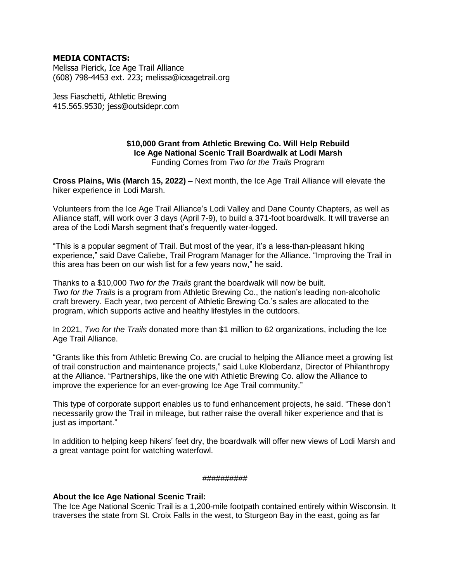### **MEDIA CONTACTS:**

Melissa Pierick, Ice Age Trail Alliance (608) 798-4453 ext. 223; melissa@iceagetrail.org

Jess Fiaschetti, Athletic Brewing 415.565.9530; jess@outsidepr.com

#### **\$10,000 Grant from Athletic Brewing Co. Will Help Rebuild Ice Age National Scenic Trail Boardwalk at Lodi Marsh** Funding Comes from *Two for the Trails* Program

**Cross Plains, Wis (March 15, 2022) –** Next month, the Ice Age Trail Alliance will elevate the hiker experience in Lodi Marsh.

Volunteers from the Ice Age Trail Alliance's Lodi Valley and Dane County Chapters, as well as Alliance staff, will work over 3 days (April 7-9), to build a 371-foot boardwalk. It will traverse an area of the Lodi Marsh segment that's frequently water-logged.

"This is a popular segment of Trail. But most of the year, it's a less-than-pleasant hiking experience," said Dave Caliebe, Trail Program Manager for the Alliance. "Improving the Trail in this area has been on our wish list for a few years now," he said.

Thanks to a \$10,000 *Two for the Trails* grant the boardwalk will now be built. *Two for the Trails* is a program from Athletic Brewing Co., the nation's leading non-alcoholic craft brewery. Each year, two percent of Athletic Brewing Co.'s sales are allocated to the program, which supports active and healthy lifestyles in the outdoors.

In 2021, *Two for the Trails* donated more than \$1 million to 62 organizations, including the Ice Age Trail Alliance.

"Grants like this from Athletic Brewing Co. are crucial to helping the Alliance meet a growing list of trail construction and maintenance projects," said Luke Kloberdanz, Director of Philanthropy at the Alliance. "Partnerships, like the one with Athletic Brewing Co. allow the Alliance to improve the experience for an ever-growing Ice Age Trail community."

This type of corporate support enables us to fund enhancement projects, he said. "These don't necessarily grow the Trail in mileage, but rather raise the overall hiker experience and that is just as important."

In addition to helping keep hikers' feet dry, the boardwalk will offer new views of Lodi Marsh and a great vantage point for watching waterfowl.

#### ##########

### **About the Ice Age National Scenic Trail:**

The Ice Age National Scenic Trail is a 1,200-mile footpath contained entirely within Wisconsin. It traverses the state from St. Croix Falls in the west, to Sturgeon Bay in the east, going as far